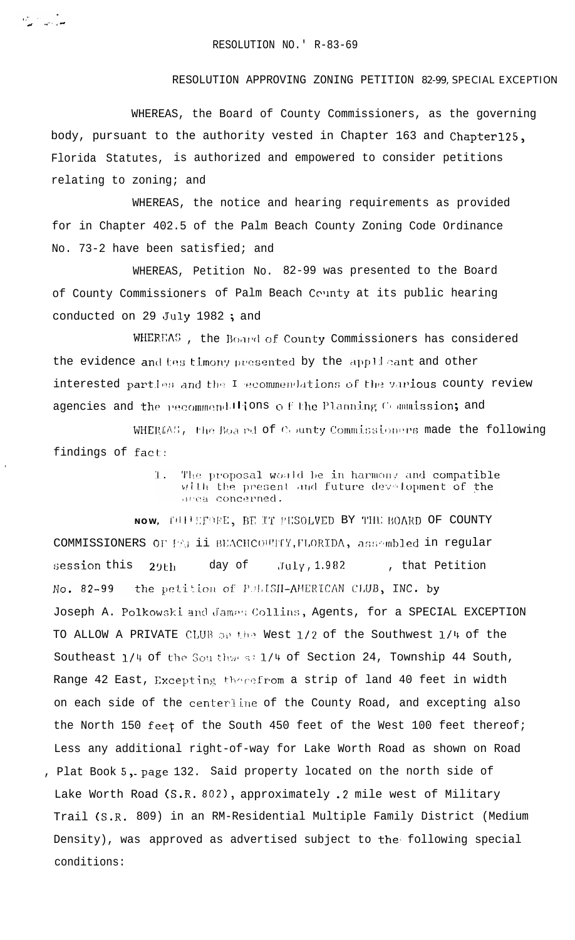$\sigma_{\rm acc} \sim 1$ 

## RESOLUTION APPROVING ZONING PETITION 82-99, SPECIAL EXCEPTION

WHEREAS, the Board of County Commissioners, as the governing body, pursuant to the authority vested in Chapter 163 and Chapter125, Florida Statutes, is authorized and empowered to consider petitions relating to zoning; and

WHEREAS, the notice and hearing requirements as provided for in Chapter 402.5 of the Palm Beach County Zoning Code Ordinance No. 73-2 have been satisfied; and

WHEREAS, Petition No. 82-99 was presented to the Board of County Commissioners of Palm Beach County at its public hearing conducted on 29 July 1982; and

WHEREAS, the Board of County Commissioners has considered the evidence and tes timony presented by the applicant and other interested partles and the I ecommendations of the various county review agencies and the recommend Hions of the Planning Commission; and

WHEREAS, the Boa nd of County Commissioners made the following findings of fact:

> The proposal would be in harmony and compatible  $1.$ with the present and future development of the arrea concerned.

NOW, THE EFORE, BE IT PESOLVED BY THE BOARD OF COUNTY COMMISSIONERS OF FALII BEACHCOUNTY, FLORIDA, assembled in regular , that Petition session this  $July, 1.982$  $29th$ day of  $No. 82-99$ the petition of PULISH-AMERICAN CLUB, INC. by Joseph A. Polkowski and James Collins, Agents, for a SPECIAL EXCEPTION TO ALLOW A PRIVATE CLUB on the West 1/2 of the Southwest 1/4 of the Southeast 1/4 of the Sou thwest 1/4 of Section 24, Township 44 South, Range 42 East, Excepting therefrom a strip of land 40 feet in width on each side of the centerline of the County Road, and excepting also the North 150 feet of the South 450 feet of the West 100 feet thereof; Less any additional right-of-way for Lake Worth Road as shown on Road , Plat Book 5, page 132. Said property located on the north side of Lake Worth Road (S.R. 802), approximately .2 mile west of Military Trail (S.R. 809) in an RM-Residential Multiple Family District (Medium Density), was approved as advertised subject to the following special conditions: